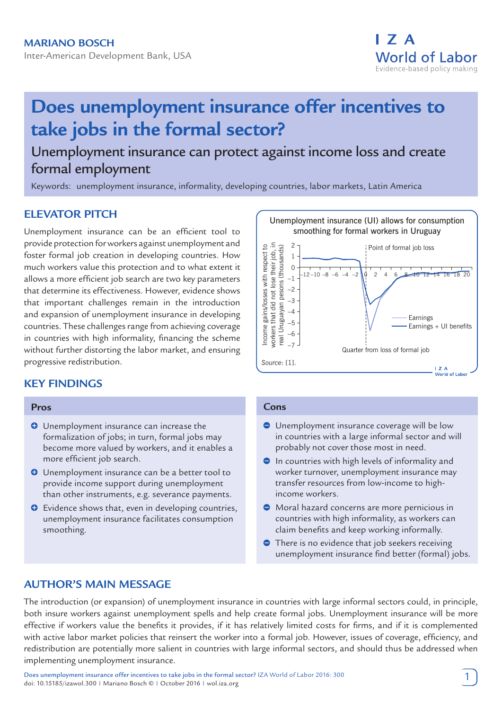

# **Does unemployment insurance offer incentives to take jobs in the formal sector?**

# Unemployment insurance can protect against income loss and create formal employment

Keywords: unemployment insurance, informality, developing countries, labor markets, Latin America

# **ELEVATOR PITCH**

Unemployment insurance can be an efficient tool to provide protection for workers against unemployment and foster formal job creation in developing countries. How much workers value this protection and to what extent it allows a more efficient job search are two key parameters that determine its effectiveness. However, evidence shows that important challenges remain in the introduction and expansion of unemployment insurance in developing countries. These challenges range from achieving coverage in countries with high informality, financing the scheme without further distorting the labor market, and ensuring progressive redistribution.

# **KEY FINDINGS**

#### **Pros**

- **O** Unemployment insurance can increase the formalization of jobs; in turn, formal jobs may become more valued by workers, and it enables a more efficient job search.
- **O** Unemployment insurance can be a better tool to provide income support during unemployment than other instruments, e.g. severance payments.
- **O** Evidence shows that, even in developing countries, unemployment insurance facilitates consumption smoothing.



#### **Cons**

- Unemployment insurance coverage will be low in countries with a large informal sector and will probably not cover those most in need.
- $\bullet$  In countries with high levels of informality and worker turnover, unemployment insurance may transfer resources from low-income to highincome workers.
- Moral hazard concerns are more pernicious in countries with high informality, as workers can claim benefits and keep working informally.
- **•** There is no evidence that job seekers receiving unemployment insurance find better (formal) jobs.

## **AUTHOR'S MAIN MESSAGE**

The introduction (or expansion) of unemployment insurance in countries with large informal sectors could, in principle, both insure workers against unemployment spells and help create formal jobs. Unemployment insurance will be more effective if workers value the benefits it provides, if it has relatively limited costs for firms, and if it is complemented with active labor market policies that reinsert the worker into a formal job. However, issues of coverage, efficiency, and redistribution are potentially more salient in countries with large informal sectors, and should thus be addressed when implementing unemployment insurance.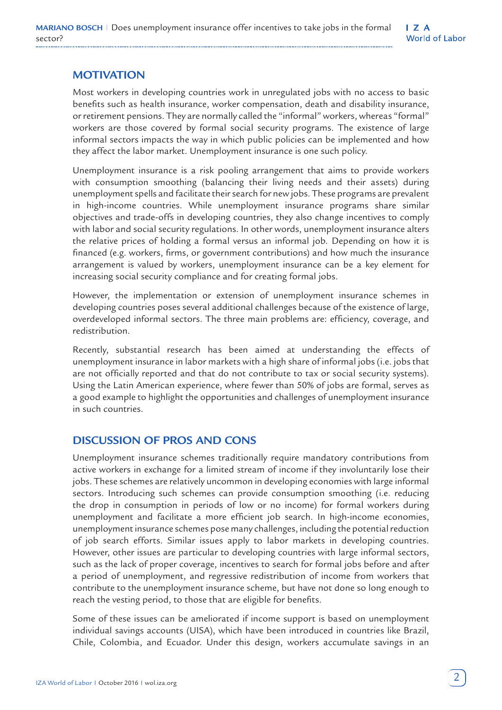# **MOTIVATION**

Most workers in developing countries work in unregulated jobs with no access to basic benefits such as health insurance, worker compensation, death and disability insurance, or retirement pensions. They are normally called the "informal" workers, whereas "formal" workers are those covered by formal social security programs. The existence of large informal sectors impacts the way in which public policies can be implemented and how they affect the labor market. Unemployment insurance is one such policy.

Unemployment insurance is a risk pooling arrangement that aims to provide workers with consumption smoothing (balancing their living needs and their assets) during unemployment spells and facilitate their search for new jobs. These programs are prevalent in high-income countries. While unemployment insurance programs share similar objectives and trade-offs in developing countries, they also change incentives to comply with labor and social security regulations. In other words, unemployment insurance alters the relative prices of holding a formal versus an informal job. Depending on how it is financed (e.g. workers, firms, or government contributions) and how much the insurance arrangement is valued by workers, unemployment insurance can be a key element for increasing social security compliance and for creating formal jobs.

However, the implementation or extension of unemployment insurance schemes in developing countries poses several additional challenges because of the existence of large, overdeveloped informal sectors. The three main problems are: efficiency, coverage, and redistribution.

Recently, substantial research has been aimed at understanding the effects of unemployment insurance in labor markets with a high share of informal jobs (i.e. jobs that are not officially reported and that do not contribute to tax or social security systems). Using the Latin American experience, where fewer than 50% of jobs are formal, serves as a good example to highlight the opportunities and challenges of unemployment insurance in such countries.

# **DISCUSSION OF PROS AND CONS**

Unemployment insurance schemes traditionally require mandatory contributions from active workers in exchange for a limited stream of income if they involuntarily lose their jobs. These schemes are relatively uncommon in developing economies with large informal sectors. Introducing such schemes can provide consumption smoothing (i.e. reducing the drop in consumption in periods of low or no income) for formal workers during unemployment and facilitate a more efficient job search. In high-income economies, unemployment insurance schemes pose many challenges, including the potential reduction of job search efforts. Similar issues apply to labor markets in developing countries. However, other issues are particular to developing countries with large informal sectors, such as the lack of proper coverage, incentives to search for formal jobs before and after a period of unemployment, and regressive redistribution of income from workers that contribute to the unemployment insurance scheme, but have not done so long enough to reach the vesting period, to those that are eligible for benefits.

Some of these issues can be ameliorated if income support is based on unemployment individual savings accounts (UISA), which have been introduced in countries like Brazil, Chile, Colombia, and Ecuador. Under this design, workers accumulate savings in an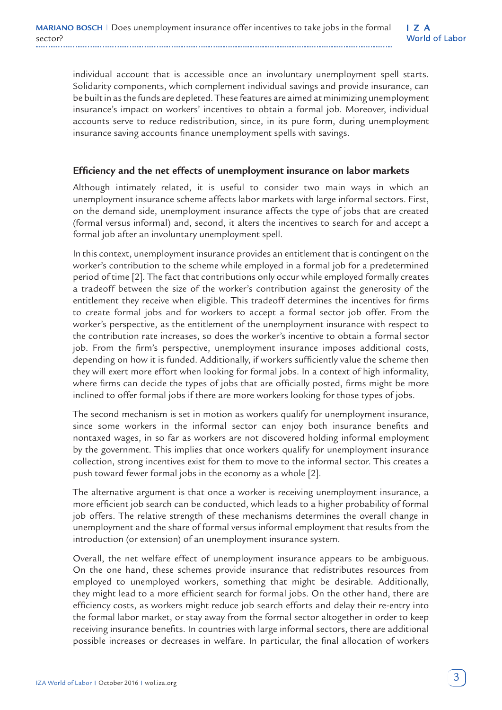individual account that is accessible once an involuntary unemployment spell starts. Solidarity components, which complement individual savings and provide insurance, can be built in as the funds are depleted. These features are aimed at minimizing unemployment insurance's impact on workers' incentives to obtain a formal job. Moreover, individual accounts serve to reduce redistribution, since, in its pure form, during unemployment insurance saving accounts finance unemployment spells with savings.

#### **Efficiency and the net effects of unemployment insurance on labor markets**

Although intimately related, it is useful to consider two main ways in which an unemployment insurance scheme affects labor markets with large informal sectors. First, on the demand side, unemployment insurance affects the type of jobs that are created (formal versus informal) and, second, it alters the incentives to search for and accept a formal job after an involuntary unemployment spell.

In this context, unemployment insurance provides an entitlement that is contingent on the worker's contribution to the scheme while employed in a formal job for a predetermined period of time [2]. The fact that contributions only occur while employed formally creates a tradeoff between the size of the worker's contribution against the generosity of the entitlement they receive when eligible. This tradeoff determines the incentives for firms to create formal jobs and for workers to accept a formal sector job offer. From the worker's perspective, as the entitlement of the unemployment insurance with respect to the contribution rate increases, so does the worker's incentive to obtain a formal sector job. From the firm's perspective, unemployment insurance imposes additional costs, depending on how it is funded. Additionally, if workers sufficiently value the scheme then they will exert more effort when looking for formal jobs. In a context of high informality, where firms can decide the types of jobs that are officially posted, firms might be more inclined to offer formal jobs if there are more workers looking for those types of jobs.

The second mechanism is set in motion as workers qualify for unemployment insurance, since some workers in the informal sector can enjoy both insurance benefits and nontaxed wages, in so far as workers are not discovered holding informal employment by the government. This implies that once workers qualify for unemployment insurance collection, strong incentives exist for them to move to the informal sector. This creates a push toward fewer formal jobs in the economy as a whole [2].

The alternative argument is that once a worker is receiving unemployment insurance, a more efficient job search can be conducted, which leads to a higher probability of formal job offers. The relative strength of these mechanisms determines the overall change in unemployment and the share of formal versus informal employment that results from the introduction (or extension) of an unemployment insurance system.

Overall, the net welfare effect of unemployment insurance appears to be ambiguous. On the one hand, these schemes provide insurance that redistributes resources from employed to unemployed workers, something that might be desirable. Additionally, they might lead to a more efficient search for formal jobs. On the other hand, there are efficiency costs, as workers might reduce job search efforts and delay their re-entry into the formal labor market, or stay away from the formal sector altogether in order to keep receiving insurance benefits. In countries with large informal sectors, there are additional possible increases or decreases in welfare. In particular, the final allocation of workers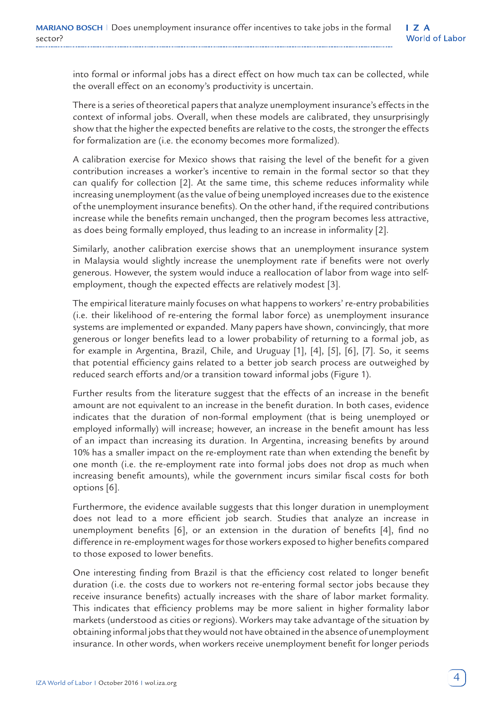into formal or informal jobs has a direct effect on how much tax can be collected, while the overall effect on an economy's productivity is uncertain.

There is a series of theoretical papers that analyze unemployment insurance's effects in the context of informal jobs. Overall, when these models are calibrated, they unsurprisingly show that the higher the expected benefits are relative to the costs, the stronger the effects for formalization are (i.e. the economy becomes more formalized).

A calibration exercise for Mexico shows that raising the level of the benefit for a given contribution increases a worker's incentive to remain in the formal sector so that they can qualify for collection [2]. At the same time, this scheme reduces informality while increasing unemployment (as the value of being unemployed increases due to the existence of the unemployment insurance benefits). On the other hand, if the required contributions increase while the benefits remain unchanged, then the program becomes less attractive, as does being formally employed, thus leading to an increase in informality [2].

Similarly, another calibration exercise shows that an unemployment insurance system in Malaysia would slightly increase the unemployment rate if benefits were not overly generous. However, the system would induce a reallocation of labor from wage into selfemployment, though the expected effects are relatively modest [3].

The empirical literature mainly focuses on what happens to workers' re-entry probabilities (i.e. their likelihood of re-entering the formal labor force) as unemployment insurance systems are implemented or expanded. Many papers have shown, convincingly, that more generous or longer benefits lead to a lower probability of returning to a formal job, as for example in Argentina, Brazil, Chile, and Uruguay [1], [4], [5], [6], [7]. So, it seems that potential efficiency gains related to a better job search process are outweighed by reduced search efforts and/or a transition toward informal jobs (Figure 1).

Further results from the literature suggest that the effects of an increase in the benefit amount are not equivalent to an increase in the benefit duration. In both cases, evidence indicates that the duration of non-formal employment (that is being unemployed or employed informally) will increase; however, an increase in the benefit amount has less of an impact than increasing its duration. In Argentina, increasing benefits by around 10% has a smaller impact on the re-employment rate than when extending the benefit by one month (i.e. the re-employment rate into formal jobs does not drop as much when increasing benefit amounts), while the government incurs similar fiscal costs for both options [6].

Furthermore, the evidence available suggests that this longer duration in unemployment does not lead to a more efficient job search. Studies that analyze an increase in unemployment benefits [6], or an extension in the duration of benefits [4], find no difference in re-employment wages for those workers exposed to higher benefits compared to those exposed to lower benefits.

One interesting finding from Brazil is that the efficiency cost related to longer benefit duration (i.e. the costs due to workers not re-entering formal sector jobs because they receive insurance benefits) actually increases with the share of labor market formality. This indicates that efficiency problems may be more salient in higher formality labor markets (understood as cities or regions). Workers may take advantage of the situation by obtaining informal jobs that they would not have obtained in the absence of unemployment insurance. In other words, when workers receive unemployment benefit for longer periods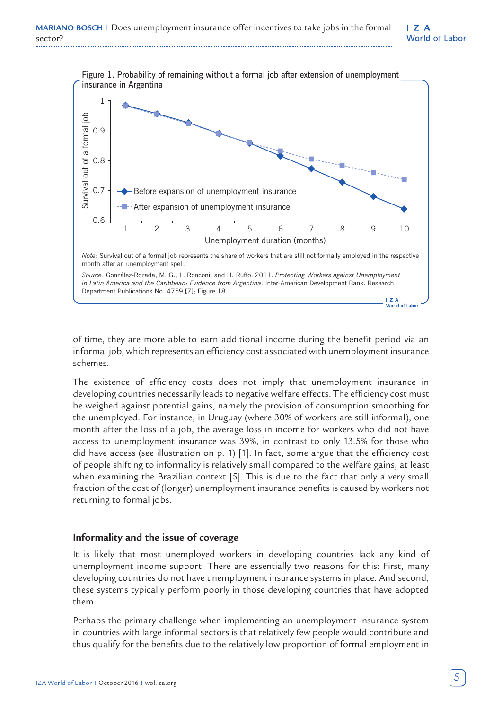

of time, they are more able to earn additional income during the benefit period via an informal job, which represents an efficiency cost associated with unemployment insurance schemes.

The existence of efficiency costs does not imply that unemployment insurance in developing countries necessarily leads to negative welfare effects. The efficiency cost must be weighed against potential gains, namely the provision of consumption smoothing for the unemployed. For instance, in Uruguay (where 30% of workers are still informal), one month after the loss of a job, the average loss in income for workers who did not have access to unemployment insurance was 39%, in contrast to only 13.5% for those who did have access (see illustration on p. 1) [1]. In fact, some argue that the efficiency cost of people shifting to informality is relatively small compared to the welfare gains, at least when examining the Brazilian context [5]. This is due to the fact that only a very small fraction of the cost of (longer) unemployment insurance benefits is caused by workers not returning to formal jobs.

#### **Informality and the issue of coverage**

It is likely that most unemployed workers in developing countries lack any kind of unemployment income support. There are essentially two reasons for this: First, many developing countries do not have unemployment insurance systems in place. And second, these systems typically perform poorly in those developing countries that have adopted them.

Perhaps the primary challenge when implementing an unemployment insurance system in countries with large informal sectors is that relatively few people would contribute and thus qualify for the benefits due to the relatively low proportion of formal employment in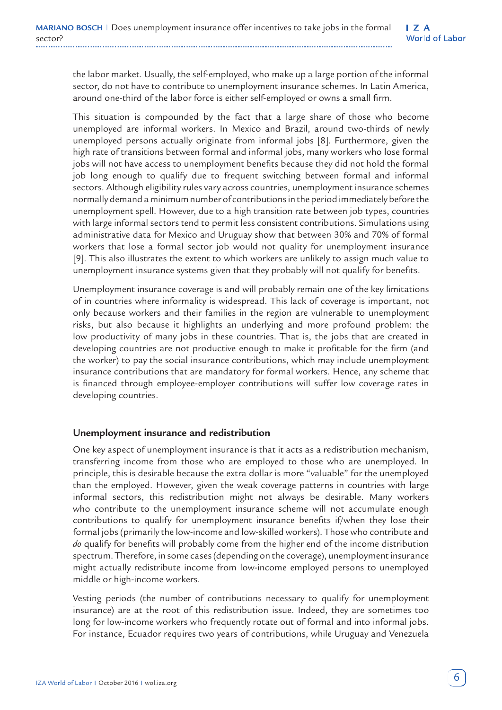the labor market. Usually, the self-employed, who make up a large portion of the informal sector, do not have to contribute to unemployment insurance schemes. In Latin America, around one-third of the labor force is either self-employed or owns a small firm.

This situation is compounded by the fact that a large share of those who become unemployed are informal workers. In Mexico and Brazil, around two-thirds of newly unemployed persons actually originate from informal jobs [8]. Furthermore, given the high rate of transitions between formal and informal jobs, many workers who lose formal jobs will not have access to unemployment benefits because they did not hold the formal job long enough to qualify due to frequent switching between formal and informal sectors. Although eligibility rules vary across countries, unemployment insurance schemes normally demand a minimum number of contributions in the period immediately before the unemployment spell. However, due to a high transition rate between job types, countries with large informal sectors tend to permit less consistent contributions. Simulations using administrative data for Mexico and Uruguay show that between 30% and 70% of formal workers that lose a formal sector job would not quality for unemployment insurance [9]. This also illustrates the extent to which workers are unlikely to assign much value to unemployment insurance systems given that they probably will not qualify for benefits.

Unemployment insurance coverage is and will probably remain one of the key limitations of in countries where informality is widespread. This lack of coverage is important, not only because workers and their families in the region are vulnerable to unemployment risks, but also because it highlights an underlying and more profound problem: the low productivity of many jobs in these countries. That is, the jobs that are created in developing countries are not productive enough to make it profitable for the firm (and the worker) to pay the social insurance contributions, which may include unemployment insurance contributions that are mandatory for formal workers. Hence, any scheme that is financed through employee-employer contributions will suffer low coverage rates in developing countries.

#### **Unemployment insurance and redistribution**

One key aspect of unemployment insurance is that it acts as a redistribution mechanism, transferring income from those who are employed to those who are unemployed. In principle, this is desirable because the extra dollar is more "valuable" for the unemployed than the employed. However, given the weak coverage patterns in countries with large informal sectors, this redistribution might not always be desirable. Many workers who contribute to the unemployment insurance scheme will not accumulate enough contributions to qualify for unemployment insurance benefits if/when they lose their formal jobs (primarily the low-income and low-skilled workers). Those who contribute and *do* qualify for benefits will probably come from the higher end of the income distribution spectrum. Therefore, in some cases (depending on the coverage), unemployment insurance might actually redistribute income from low-income employed persons to unemployed middle or high-income workers.

Vesting periods (the number of contributions necessary to qualify for unemployment insurance) are at the root of this redistribution issue. Indeed, they are sometimes too long for low-income workers who frequently rotate out of formal and into informal jobs. For instance, Ecuador requires two years of contributions, while Uruguay and Venezuela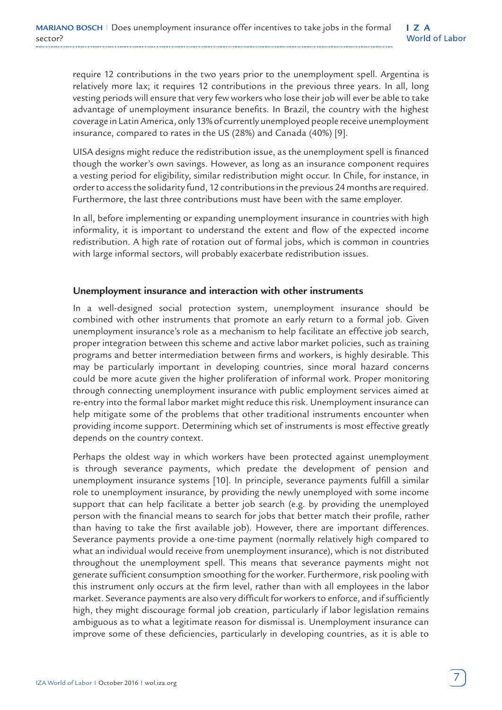require 12 contributions in the two years prior to the unemployment spell. Argentina is relatively more lax; it requires 12 contributions in the previous three years. In all, long vesting periods will ensure that very few workers who lose their job will ever be able to take advantage of unemployment insurance benefits. In Brazil, the country with the highest coverage in Latin America, only 13% of currently unemployed people receive unemployment insurance, compared to rates in the US (28%) and Canada (40%) [9].

UISA designs might reduce the redistribution issue, as the unemployment spell is financed though the worker's own savings. However, as long as an insurance component requires a vesting period for eligibility, similar redistribution might occur. In Chile, for instance, in order to access the solidarity fund, 12 contributions in the previous 24 months are required. Furthermore, the last three contributions must have been with the same employer.

In all, before implementing or expanding unemployment insurance in countries with high informality, it is important to understand the extent and flow of the expected income redistribution. A high rate of rotation out of formal jobs, which is common in countries with large informal sectors, will probably exacerbate redistribution issues.

#### **Unemployment insurance and interaction with other instruments**

In a well-designed social protection system, unemployment insurance should be combined with other instruments that promote an early return to a formal job. Given unemployment insurance's role as a mechanism to help facilitate an effective job search, proper integration between this scheme and active labor market policies, such as training programs and better intermediation between firms and workers, is highly desirable. This may be particularly important in developing countries, since moral hazard concerns could be more acute given the higher proliferation of informal work. Proper monitoring through connecting unemployment insurance with public employment services aimed at re-entry into the formal labor market might reduce this risk. Unemployment insurance can help mitigate some of the problems that other traditional instruments encounter when providing income support. Determining which set of instruments is most effective greatly depends on the country context.

Perhaps the oldest way in which workers have been protected against unemployment is through severance payments, which predate the development of pension and unemployment insurance systems [10]. In principle, severance payments fulfill a similar role to unemployment insurance, by providing the newly unemployed with some income support that can help facilitate a better job search (e.g. by providing the unemployed person with the financial means to search for jobs that better match their profile, rather than having to take the first available job). However, there are important differences. Severance payments provide a one-time payment (normally relatively high compared to what an individual would receive from unemployment insurance), which is not distributed throughout the unemployment spell. This means that severance payments might not generate sufficient consumption smoothing for the worker. Furthermore, risk pooling with this instrument only occurs at the firm level, rather than with all employees in the labor market. Severance payments are also very difficult for workers to enforce, and if sufficiently high, they might discourage formal job creation, particularly if labor legislation remains ambiguous as to what a legitimate reason for dismissal is. Unemployment insurance can improve some of these deficiencies, particularly in developing countries, as it is able to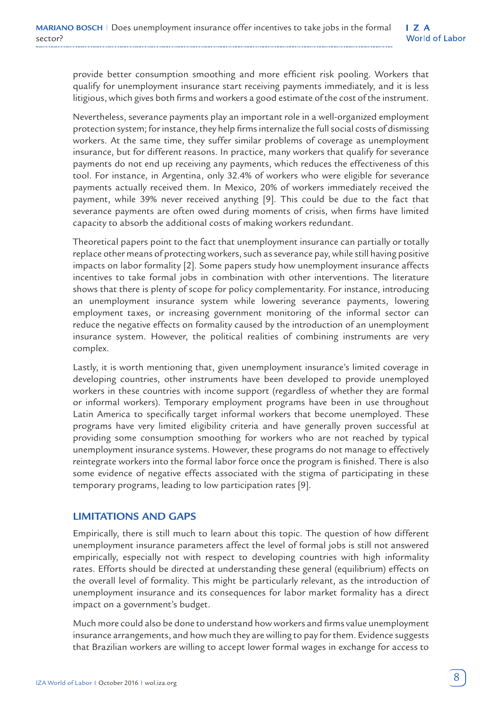provide better consumption smoothing and more efficient risk pooling. Workers that qualify for unemployment insurance start receiving payments immediately, and it is less litigious, which gives both firms and workers a good estimate of the cost of the instrument.

Nevertheless, severance payments play an important role in a well-organized employment protection system; for instance, they help firms internalize the full social costs of dismissing workers. At the same time, they suffer similar problems of coverage as unemployment insurance, but for different reasons. In practice, many workers that qualify for severance payments do not end up receiving any payments, which reduces the effectiveness of this tool. For instance, in Argentina, only 32.4% of workers who were eligible for severance payments actually received them. In Mexico, 20% of workers immediately received the payment, while 39% never received anything [9]. This could be due to the fact that severance payments are often owed during moments of crisis, when firms have limited capacity to absorb the additional costs of making workers redundant.

Theoretical papers point to the fact that unemployment insurance can partially or totally replace other means of protecting workers, such as severance pay, while still having positive impacts on labor formality [2]. Some papers study how unemployment insurance affects incentives to take formal jobs in combination with other interventions. The literature shows that there is plenty of scope for policy complementarity. For instance, introducing an unemployment insurance system while lowering severance payments, lowering employment taxes, or increasing government monitoring of the informal sector can reduce the negative effects on formality caused by the introduction of an unemployment insurance system. However, the political realities of combining instruments are very complex.

Lastly, it is worth mentioning that, given unemployment insurance's limited coverage in developing countries, other instruments have been developed to provide unemployed workers in these countries with income support (regardless of whether they are formal or informal workers). Temporary employment programs have been in use throughout Latin America to specifically target informal workers that become unemployed. These programs have very limited eligibility criteria and have generally proven successful at providing some consumption smoothing for workers who are not reached by typical unemployment insurance systems. However, these programs do not manage to effectively reintegrate workers into the formal labor force once the program is finished. There is also some evidence of negative effects associated with the stigma of participating in these temporary programs, leading to low participation rates [9].

#### **LIMITATIONS AND GAPS**

Empirically, there is still much to learn about this topic. The question of how different unemployment insurance parameters affect the level of formal jobs is still not answered empirically, especially not with respect to developing countries with high informality rates. Efforts should be directed at understanding these general (equilibrium) effects on the overall level of formality. This might be particularly relevant, as the introduction of unemployment insurance and its consequences for labor market formality has a direct impact on a government's budget.

Much more could also be done to understand how workers and firms value unemployment insurance arrangements, and how much they are willing to pay for them. Evidence suggests that Brazilian workers are willing to accept lower formal wages in exchange for access to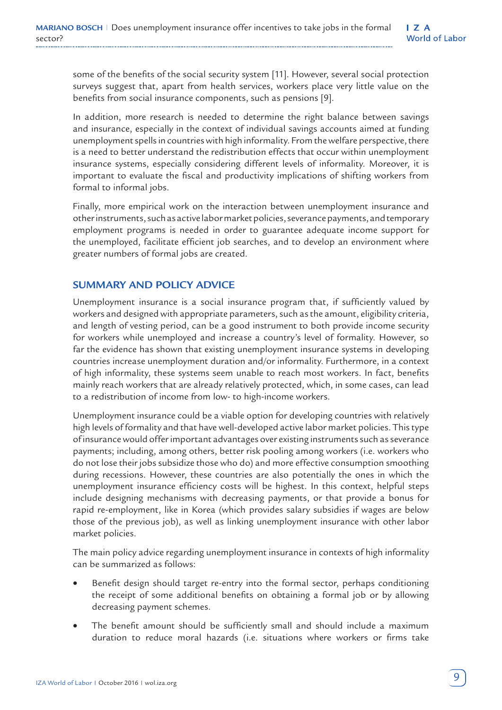some of the benefits of the social security system [11]. However, several social protection surveys suggest that, apart from health services, workers place very little value on the benefits from social insurance components, such as pensions [9].

In addition, more research is needed to determine the right balance between savings and insurance, especially in the context of individual savings accounts aimed at funding unemployment spells in countries with high informality. From the welfare perspective, there is a need to better understand the redistribution effects that occur within unemployment insurance systems, especially considering different levels of informality. Moreover, it is important to evaluate the fiscal and productivity implications of shifting workers from formal to informal jobs.

Finally, more empirical work on the interaction between unemployment insurance and other instruments, such as active labor market policies, severance payments, and temporary employment programs is needed in order to guarantee adequate income support for the unemployed, facilitate efficient job searches, and to develop an environment where greater numbers of formal jobs are created.

### **SUMMARY AND POLICY ADVICE**

Unemployment insurance is a social insurance program that, if sufficiently valued by workers and designed with appropriate parameters, such as the amount, eligibility criteria, and length of vesting period, can be a good instrument to both provide income security for workers while unemployed and increase a country's level of formality. However, so far the evidence has shown that existing unemployment insurance systems in developing countries increase unemployment duration and/or informality. Furthermore, in a context of high informality, these systems seem unable to reach most workers. In fact, benefits mainly reach workers that are already relatively protected, which, in some cases, can lead to a redistribution of income from low- to high-income workers.

Unemployment insurance could be a viable option for developing countries with relatively high levels of formality and that have well-developed active labor market policies. This type of insurance would offer important advantages over existing instruments such as severance payments; including, among others, better risk pooling among workers (i.e. workers who do not lose their jobs subsidize those who do) and more effective consumption smoothing during recessions. However, these countries are also potentially the ones in which the unemployment insurance efficiency costs will be highest. In this context, helpful steps include designing mechanisms with decreasing payments, or that provide a bonus for rapid re-employment, like in Korea (which provides salary subsidies if wages are below those of the previous job), as well as linking unemployment insurance with other labor market policies.

The main policy advice regarding unemployment insurance in contexts of high informality can be summarized as follows:

- Benefit design should target re-entry into the formal sector, perhaps conditioning the receipt of some additional benefits on obtaining a formal job or by allowing decreasing payment schemes.
- The benefit amount should be sufficiently small and should include a maximum duration to reduce moral hazards (i.e. situations where workers or firms take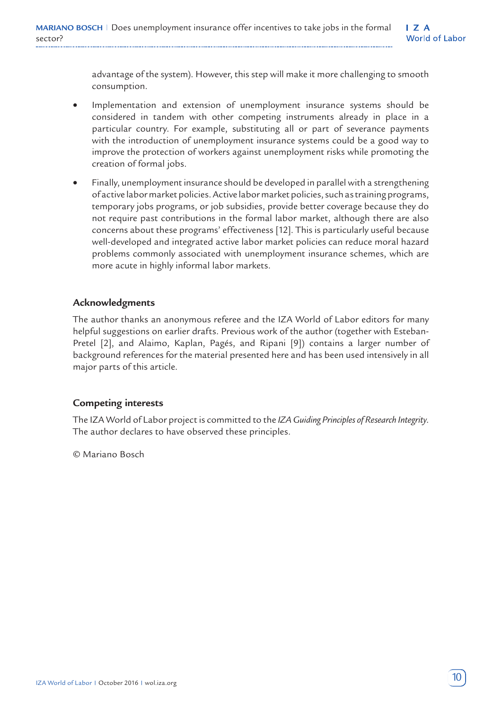advantage of the system). However, this step will make it more challenging to smooth consumption.

- Implementation and extension of unemployment insurance systems should be considered in tandem with other competing instruments already in place in a particular country. For example, substituting all or part of severance payments with the introduction of unemployment insurance systems could be a good way to improve the protection of workers against unemployment risks while promoting the creation of formal jobs.
- Finally, unemployment insurance should be developed in parallel with a strengthening of active labor market policies. Active labor market policies, such as training programs, temporary jobs programs, or job subsidies, provide better coverage because they do not require past contributions in the formal labor market, although there are also concerns about these programs' effectiveness [12]. This is particularly useful because well-developed and integrated active labor market policies can reduce moral hazard problems commonly associated with unemployment insurance schemes, which are more acute in highly informal labor markets.

#### **Acknowledgments**

The author thanks an anonymous referee and the IZA World of Labor editors for many helpful suggestions on earlier drafts. Previous work of the author (together with Esteban-Pretel [2], and Alaimo, Kaplan, Pagés, and Ripani [9]) contains a larger number of background references for the material presented here and has been used intensively in all major parts of this article.

#### **Competing interests**

The IZA World of Labor project is committed to the *IZA Guiding Principles of Research Integrity*. The author declares to have observed these principles.

© Mariano Bosch